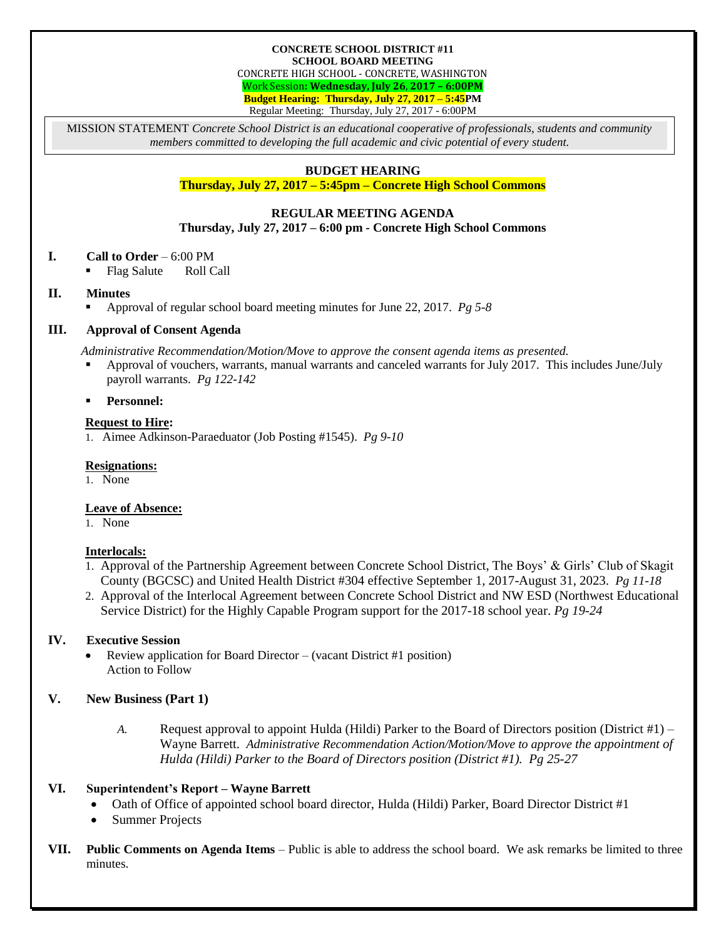#### **CONCRETE SCHOOL DISTRICT #11 SCHOOL BOARD MEETING**

CONCRETE HIGH SCHOOL - CONCRETE, WASHINGTON

Work Session**: Wednesday, July 26**, **2017 – 6:00PM**

**Budget Hearing: Thursday, July 27, 2017 – 5:45PM**

Regular Meeting: Thursday, July 27, 2017 - 6:00PM

MISSION STATEMENT *Concrete School District is an educational cooperative of professionals, students and community members committed to developing the full academic and civic potential of every student.*

# **BUDGET HEARING**

**Thursday, July 27, 2017 – 5:45pm – Concrete High School Commons**

#### **REGULAR MEETING AGENDA Thursday, July 27, 2017 – 6:00 pm - Concrete High School Commons**

# **I. Call to Order** – 6:00 PM

• Flag Salute Roll Call

# **II. Minutes**

Approval of regular school board meeting minutes for June 22, 2017. *Pg 5-8*

# **III. Approval of Consent Agenda**

*Administrative Recommendation/Motion/Move to approve the consent agenda items as presented.*

- Approval of vouchers, warrants, manual warrants and canceled warrants for July 2017. This includes June/July payroll warrants. *Pg 122-142*
- **Personnel:**

# **Request to Hire:**

1. Aimee Adkinson-Paraeduator (Job Posting #1545). *Pg 9-10*

# **Resignations:**

1. None

# **Leave of Absence:**

1. None

# **Interlocals:**

- 1. Approval of the Partnership Agreement between Concrete School District, The Boys' & Girls' Club of Skagit County (BGCSC) and United Health District #304 effective September 1, 2017-August 31, 2023. *Pg 11-18*
- 2. Approval of the Interlocal Agreement between Concrete School District and NW ESD (Northwest Educational Service District) for the Highly Capable Program support for the 2017-18 school year. *Pg 19-24*

# **IV. Executive Session**

 Review application for Board Director – (vacant District #1 position) Action to Follow

# **V. New Business (Part 1)**

*A.* Request approval to appoint Hulda (Hildi) Parker to the Board of Directors position (District #1) – Wayne Barrett. *Administrative Recommendation Action/Motion/Move to approve the appointment of Hulda (Hildi) Parker to the Board of Directors position (District #1). Pg 25-27*

# **VI. Superintendent's Report – Wayne Barrett**

- Oath of Office of appointed school board director, Hulda (Hildi) Parker, Board Director District #1
- Summer Projects
- **VII. Public Comments on Agenda Items** Public is able to address the school board. We ask remarks be limited to three minutes.